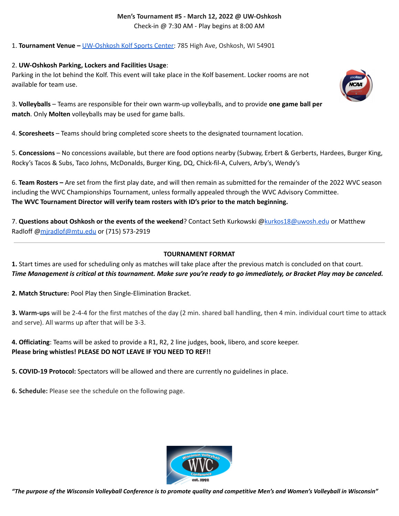### **Men's Tournament #5 - March 12, 2022 @ UW-Oshkosh** Check-in @ 7:30 AM - Play begins at 8:00 AM

1. **Tournament Venue –** [UW-Oshkosh](https://goo.gl/maps/DA7iYsC2hsve4RY19) Kolf Sports Center: 785 High Ave, Oshkosh, WI 54901

### 2. **UW-Oshkosh Parking, Lockers and Facilities Usage**:

Parking in the lot behind the Kolf. This event will take place in the Kolf basement. Locker rooms are not available for team use.

3. **Volleyballs** – Teams are responsible for their own warm-up volleyballs, and to provide **one game ball per match**. Only **Molten** volleyballs may be used for game balls.

4. **Scoresheets** – Teams should bring completed score sheets to the designated tournament location.

5. **Concessions** – No concessions available, but there are food options nearby (Subway, Erbert & Gerberts, Hardees, Burger King, Rocky's Tacos & Subs, Taco Johns, McDonalds, Burger King, DQ, Chick-fil-A, Culvers, Arby's, Wendy's

6. **Team Rosters –** Are set from the first play date, and will then remain as submitted for the remainder of the 2022 WVC season including the WVC Championships Tournament, unless formally appealed through the WVC Advisory Committee. **The WVC Tournament Director will verify team rosters with ID's prior to the match beginning.**

7. **Questions about Oshkosh or the events of the weekend**? Contact Seth Kurkowski [@kurkos18@uwosh.edu](mailto:kurkos18@uwosh.edu) or Matthew Radloff [@mjradlof@mtu.edu](mailto:mjradlof@mtu.edu) or (715) 573-2919

## **TOURNAMENT FORMAT**

**1.** Start times are used for scheduling only as matches will take place after the previous match is concluded on that court. Time Management is critical at this tournament. Make sure you're ready to go immediately, or Bracket Play may be canceled.

**2. Match Structure:** Pool Play then Single-Elimination Bracket.

**3. Warm-ups** will be 2-4-4 for the first matches of the day (2 min. shared ball handling, then 4 min. individual court time to attack and serve). All warms up after that will be 3-3.

**4. Officiating**: Teams will be asked to provide a R1, R2, 2 line judges, book, libero, and score keeper. **Please bring whistles! PLEASE DO NOT LEAVE IF YOU NEED TO REF!!**

**5. COVID-19 Protocol:** Spectators will be allowed and there are currently no guidelines in place.

**6. Schedule:** Please see the schedule on the following page.



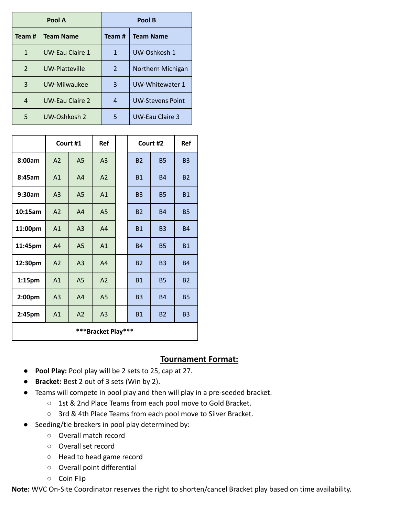| Pool A         |                        | Pool B |                         |  |
|----------------|------------------------|--------|-------------------------|--|
| Team#          | <b>Team Name</b>       | Team # | <b>Team Name</b>        |  |
| $\mathbf{1}$   | <b>UW-Eau Claire 1</b> | 1      | UW-Oshkosh 1            |  |
| $\overline{2}$ | <b>UW-Platteville</b>  | 2      | Northern Michigan       |  |
| 3              | UW-Milwaukee           | 3      | UW-Whitewater 1         |  |
| 4              | <b>UW-Eau Claire 2</b> | 4      | <b>UW-Stevens Point</b> |  |
| 5              | UW-Oshkosh 2           | 5      | <b>UW-Eau Claire 3</b>  |  |

|                    | Court #1       |                | Ref            |  | Court #2  |           | Ref       |  |  |
|--------------------|----------------|----------------|----------------|--|-----------|-----------|-----------|--|--|
| 8:00am             | A2             | A <sub>5</sub> | A <sub>3</sub> |  | <b>B2</b> | <b>B5</b> | <b>B3</b> |  |  |
| 8:45am             | A1             | A4             | A2             |  | <b>B1</b> | <b>B4</b> | <b>B2</b> |  |  |
| 9:30am             | A <sub>3</sub> | A <sub>5</sub> | A1             |  | <b>B3</b> | <b>B5</b> | <b>B1</b> |  |  |
| 10:15am            | A2             | A4             | A <sub>5</sub> |  | <b>B2</b> | <b>B4</b> | <b>B5</b> |  |  |
| 11:00pm            | A1             | A <sub>3</sub> | A4             |  | <b>B1</b> | <b>B3</b> | <b>B4</b> |  |  |
| 11:45pm            | A4             | A <sub>5</sub> | A1             |  | <b>B4</b> | <b>B5</b> | <b>B1</b> |  |  |
| 12:30pm            | A2             | A <sub>3</sub> | A <sub>4</sub> |  | <b>B2</b> | <b>B3</b> | <b>B4</b> |  |  |
| 1:15 <sub>pm</sub> | A1             | A <sub>5</sub> | A2             |  | <b>B1</b> | <b>B5</b> | <b>B2</b> |  |  |
| 2:00pm             | A <sub>3</sub> | A4             | A <sub>5</sub> |  | <b>B3</b> | <b>B4</b> | <b>B5</b> |  |  |
| 2:45pm             | A1             | A2             | A3             |  | <b>B1</b> | <b>B2</b> | <b>B3</b> |  |  |
| ***Bracket Play*** |                |                |                |  |           |           |           |  |  |

## **Tournament Format:**

- **Pool Play:** Pool play will be 2 sets to 25, cap at 27.
- **Bracket:** Best 2 out of 3 sets (Win by 2).
- Teams will compete in pool play and then will play in a pre-seeded bracket.
	- 1st & 2nd Place Teams from each pool move to Gold Bracket.
	- 3rd & 4th Place Teams from each pool move to Silver Bracket.
- Seeding/tie breakers in pool play determined by:
	- Overall match record
	- Overall set record
	- Head to head game record
	- Overall point differential
	- Coin Flip

**Note:** WVC On-Site Coordinator reserves the right to shorten/cancel Bracket play based on time availability.